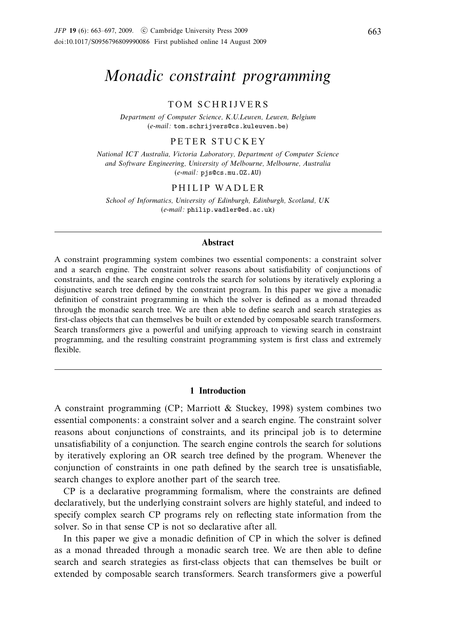# Monadic constraint programming

#### TOM SCHRIJVERS

Department of Computer Science, K.U.Leuven, Leuven, Belgium (e-mail: tom.schrijvers@cs.kuleuven.be)

# PETER STUCKEY

National ICT Australia, Victoria Laboratory, Department of Computer Science and Software Engineering, University of Melbourne, Melbourne, Australia (e-mail: pjs@cs.mu.OZ.AU)

## PHILIP WADLER

School of Informatics, University of Edinburgh, Edinburgh, Scotland, UK (e-mail: philip.wadler@ed.ac.uk)

#### **Abstract**

A constraint programming system combines two essential components: a constraint solver and a search engine. The constraint solver reasons about satisfiability of conjunctions of constraints, and the search engine controls the search for solutions by iteratively exploring a disjunctive search tree defined by the constraint program. In this paper we give a monadic definition of constraint programming in which the solver is defined as a monad threaded through the monadic search tree. We are then able to define search and search strategies as first-class objects that can themselves be built or extended by composable search transformers. Search transformers give a powerful and unifying approach to viewing search in constraint programming, and the resulting constraint programming system is first class and extremely flexible.

#### **1 Introduction**

A constraint programming (CP; Marriott & Stuckey, 1998) system combines two essential components: a constraint solver and a search engine. The constraint solver reasons about conjunctions of constraints, and its principal job is to determine unsatisfiability of a conjunction. The search engine controls the search for solutions by iteratively exploring an OR search tree defined by the program. Whenever the conjunction of constraints in one path defined by the search tree is unsatisfiable, search changes to explore another part of the search tree.

CP is a declarative programming formalism, where the constraints are defined declaratively, but the underlying constraint solvers are highly stateful, and indeed to specify complex search CP programs rely on reflecting state information from the solver. So in that sense CP is not so declarative after all.

In this paper we give a monadic definition of CP in which the solver is defined as a monad threaded through a monadic search tree. We are then able to define search and search strategies as first-class objects that can themselves be built or extended by composable search transformers. Search transformers give a powerful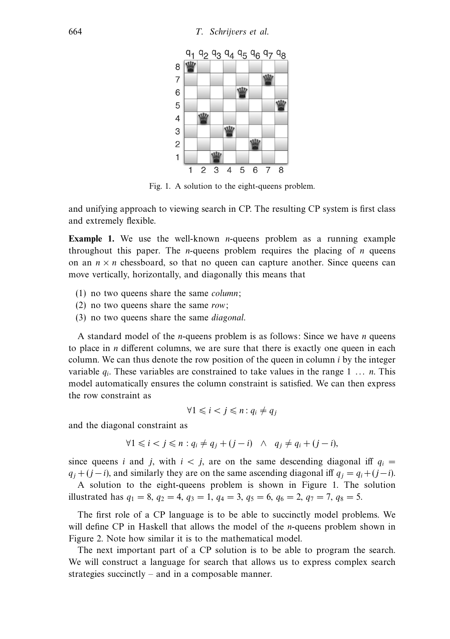

Fig. 1. A solution to the eight-queens problem.

and unifying approach to viewing search in CP. The resulting CP system is first class and extremely flexible.

**Example 1.** We use the well-known *n*-queens problem as a running example throughout this paper. The *n*-queens problem requires the placing of *n* queens on an  $n \times n$  chessboard, so that no queen can capture another. Since queens can move vertically, horizontally, and diagonally this means that

- (1) no two queens share the same column;
- (2) no two queens share the same row;
- (3) no two queens share the same diagonal.

A standard model of the *n*-queens problem is as follows: Since we have *n* queens to place in *n* different columns, we are sure that there is exactly one queen in each column. We can thus denote the row position of the queen in column *i* by the integer variable *qi*. These variables are constrained to take values in the range 1 *... n*. This model automatically ensures the column constraint is satisfied. We can then express the row constraint as

$$
\forall 1 \leq i < j \leq n : q_i \neq q_j
$$

and the diagonal constraint as

$$
\forall 1 \leq i < j \leq n : q_i \neq q_j + (j - i) \land q_j \neq q_i + (j - i),
$$

since queens *i* and *j*, with  $i < j$ , are on the same descending diagonal iff  $q_i =$  $q_i$  + ( $j - i$ ), and similarly they are on the same ascending diagonal iff  $q_i = q_i + (j - i)$ .

A solution to the eight-queens problem is shown in Figure 1. The solution illustrated has  $q_1 = 8$ ,  $q_2 = 4$ ,  $q_3 = 1$ ,  $q_4 = 3$ ,  $q_5 = 6$ ,  $q_6 = 2$ ,  $q_7 = 7$ ,  $q_8 = 5$ .

The first role of a CP language is to be able to succinctly model problems. We will define CP in Haskell that allows the model of the *n*-queens problem shown in Figure 2. Note how similar it is to the mathematical model.

The next important part of a CP solution is to be able to program the search. We will construct a language for search that allows us to express complex search strategies succinctly – and in a composable manner.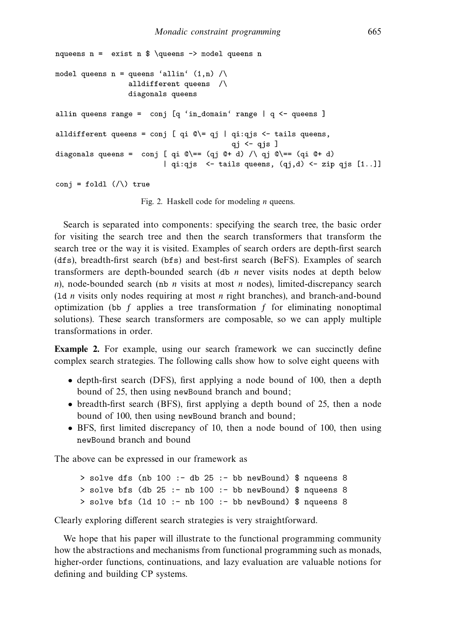```
nqueens n = exist n \ \queens -> model queens n
model queens n = queens 'allin' (1, n) /
                 alldifferent queens \wedgediagonals queens
allin queens range = conj [q 'in\_domain ' range | q < - queens ]
alldifferent queens = conj [ qi \Diamond = qj | qi:qjs <- tails queens,
                                           qi \leftarrow qis]
diagonals queens = conj [ qi @\== (qj @+ d) /\ qj @\== (qi @+ d)
                          | qi:qjs <- tails queens, (qj,d) <- zip qjs [1..]]
conj = foldl (/\rangle) true
```
Fig. 2. Haskell code for modeling *n* queens.

Search is separated into components: specifying the search tree, the basic order for visiting the search tree and then the search transformers that transform the search tree or the way it is visited. Examples of search orders are depth-first search (dfs), breadth-first search (bfs) and best-first search (BeFS). Examples of search transformers are depth-bounded search (db *n* never visits nodes at depth below *n*), node-bounded search (nb *n* visits at most *n* nodes), limited-discrepancy search (ld *n* visits only nodes requiring at most *n* right branches), and branch-and-bound optimization (bb *f* applies a tree transformation *f* for eliminating nonoptimal solutions). These search transformers are composable, so we can apply multiple transformations in order.

**Example 2.** For example, using our search framework we can succinctly define complex search strategies. The following calls show how to solve eight queens with

- depth-first search (DFS), first applying a node bound of 100, then a depth bound of 25, then using newBound branch and bound;
- breadth-first search (BFS), first applying a depth bound of 25, then a node bound of 100, then using newBound branch and bound;
- BFS, first limited discrepancy of 10, then a node bound of 100, then using newBound branch and bound

The above can be expressed in our framework as

|  |  |  |  |  | > solve dfs (nb 100 :- db 25 :- bb newBound) $\$$ nqueens 8 |  |  |
|--|--|--|--|--|-------------------------------------------------------------|--|--|
|  |  |  |  |  | $>$ solve bfs (db 25 :- nb 100 :- bb newBound) \$ nqueens 8 |  |  |
|  |  |  |  |  | > solve bfs (1d 10 :- nb 100 :- bb newBound) \$ nqueens 8   |  |  |

Clearly exploring different search strategies is very straightforward.

We hope that his paper will illustrate to the functional programming community how the abstractions and mechanisms from functional programming such as monads, higher-order functions, continuations, and lazy evaluation are valuable notions for defining and building CP systems.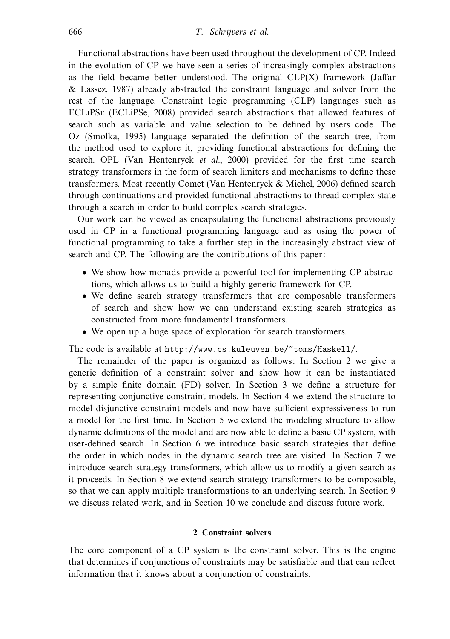Functional abstractions have been used throughout the development of CP. Indeed in the evolution of CP we have seen a series of increasingly complex abstractions as the field became better understood. The original  $CLP(X)$  framework (Jaffar & Lassez, 1987) already abstracted the constraint language and solver from the rest of the language. Constraint logic programming (CLP) languages such as ECLiPSe (ECLiPSe, 2008) provided search abstractions that allowed features of search such as variable and value selection to be defined by users code. The Oz (Smolka, 1995) language separated the definition of the search tree, from the method used to explore it, providing functional abstractions for defining the search. OPL (Van Hentenryck et al., 2000) provided for the first time search strategy transformers in the form of search limiters and mechanisms to define these transformers. Most recently Comet (Van Hentenryck & Michel, 2006) defined search through continuations and provided functional abstractions to thread complex state through a search in order to build complex search strategies.

Our work can be viewed as encapsulating the functional abstractions previously used in CP in a functional programming language and as using the power of functional programming to take a further step in the increasingly abstract view of search and CP. The following are the contributions of this paper:

- We show how monads provide a powerful tool for implementing CP abstractions, which allows us to build a highly generic framework for CP.
- We define search strategy transformers that are composable transformers of search and show how we can understand existing search strategies as constructed from more fundamental transformers.
- We open up a huge space of exploration for search transformers.

The code is available at http://www.cs.kuleuven.be/~toms/Haskell/.

The remainder of the paper is organized as follows: In Section 2 we give a generic definition of a constraint solver and show how it can be instantiated by a simple finite domain (FD) solver. In Section 3 we define a structure for representing conjunctive constraint models. In Section 4 we extend the structure to model disjunctive constraint models and now have sufficient expressiveness to run a model for the first time. In Section 5 we extend the modeling structure to allow dynamic definitions of the model and are now able to define a basic CP system, with user-defined search. In Section 6 we introduce basic search strategies that define the order in which nodes in the dynamic search tree are visited. In Section 7 we introduce search strategy transformers, which allow us to modify a given search as it proceeds. In Section 8 we extend search strategy transformers to be composable, so that we can apply multiple transformations to an underlying search. In Section 9 we discuss related work, and in Section 10 we conclude and discuss future work.

# **2 Constraint solvers**

The core component of a CP system is the constraint solver. This is the engine that determines if conjunctions of constraints may be satisfiable and that can reflect information that it knows about a conjunction of constraints.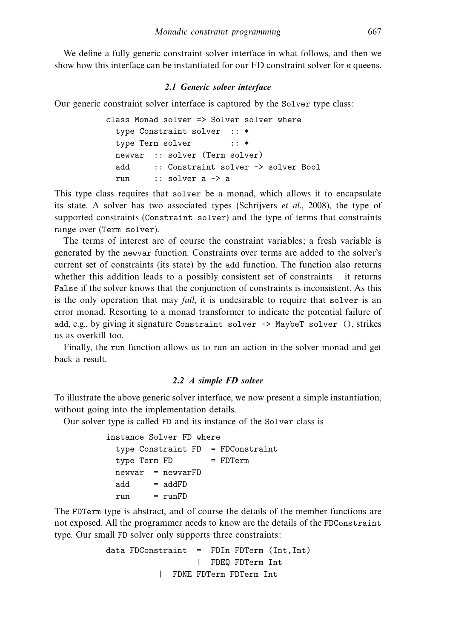We define a fully generic constraint solver interface in what follows, and then we show how this interface can be instantiated for our FD constraint solver for *n* queens.

#### *2.1 Generic solver interface*

Our generic constraint solver interface is captured by the Solver type class:

```
class Monad solver => Solver solver where
 type Constraint solver :: *
 type Term solver :: *
 newvar :: solver (Term solver)
 add :: Constraint solver -> solver Bool
 run :: solver a -> a
```
This type class requires that solver be a monad, which allows it to encapsulate its state. A solver has two associated types (Schrijvers et al., 2008), the type of supported constraints (Constraint solver) and the type of terms that constraints range over (Term solver).

The terms of interest are of course the constraint variables; a fresh variable is generated by the newvar function. Constraints over terms are added to the solver's current set of constraints (its state) by the add function. The function also returns whether this addition leads to a possibly consistent set of constraints – it returns False if the solver knows that the conjunction of constraints is inconsistent. As this is the only operation that may *fail*, it is undesirable to require that solver is an error monad. Resorting to a monad transformer to indicate the potential failure of add, e.g., by giving it signature Constraint solver -> MaybeT solver (), strikes us as overkill too.

Finally, the run function allows us to run an action in the solver monad and get back a result.

#### *2.2 A simple FD solver*

To illustrate the above generic solver interface, we now present a simple instantiation, without going into the implementation details.

Our solver type is called FD and its instance of the Solver class is

```
instance Solver FD where
 type Constraint FD = FDConstraint
 type Term FD = FDTerm
 newvar = newvarFD
 add = addFDrun = runFD
```
The FDTerm type is abstract, and of course the details of the member functions are not exposed. All the programmer needs to know are the details of the FDConstraint type. Our small FD solver only supports three constraints:

```
data FDConstraint = FDIn FDTerm (Int, Int)
                  | FDEQ FDTerm Int
          | FDNE FDTerm FDTerm Int
```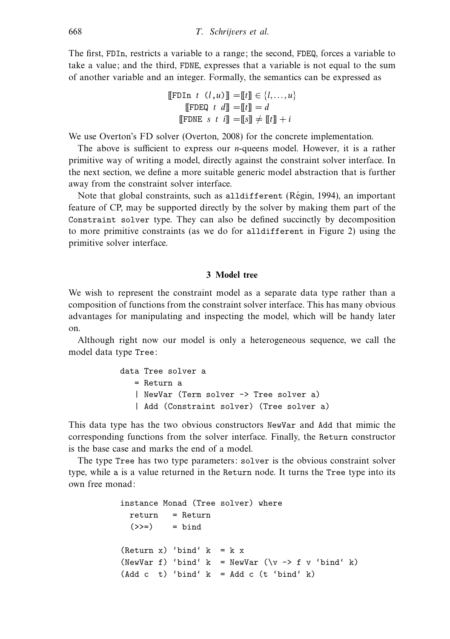The first, FDIn, restricts a variable to a range; the second, FDEQ, forces a variable to take a value; and the third, FDNE, expresses that a variable is not equal to the sum of another variable and an integer. Formally, the semantics can be expressed as

$$
\begin{aligned}\n[\text{FDIn } t \ (l, u)] = [\![t]\!] &\in \{l, \dots, u\} \\
[\text{FDEQ } t \ d]] = [\![t]\!] &= d \\
[\text{FDNE } s \ t \ i]] = [\![s]\!] &\neq [\![t]\!] + i\n\end{aligned}
$$

We use Overton's FD solver (Overton, 2008) for the concrete implementation.

The above is sufficient to express our *n*-queens model. However, it is a rather primitive way of writing a model, directly against the constraint solver interface. In the next section, we define a more suitable generic model abstraction that is further away from the constraint solver interface.

Note that global constraints, such as alldifferent (Régin, 1994), an important feature of CP, may be supported directly by the solver by making them part of the Constraint solver type. They can also be defined succinctly by decomposition to more primitive constraints (as we do for alldifferent in Figure 2) using the primitive solver interface.

# **3 Model tree**

We wish to represent the constraint model as a separate data type rather than a composition of functions from the constraint solver interface. This has many obvious advantages for manipulating and inspecting the model, which will be handy later on.

Although right now our model is only a heterogeneous sequence, we call the model data type Tree:

```
data Tree solver a
   = Return a
   | NewVar (Term solver -> Tree solver a)
   | Add (Constraint solver) (Tree solver a)
```
This data type has the two obvious constructors NewVar and Add that mimic the corresponding functions from the solver interface. Finally, the Return constructor is the base case and marks the end of a model.

The type Tree has two type parameters: solver is the obvious constraint solver type, while a is a value returned in the Return node. It turns the Tree type into its own free monad:

```
instance Monad (Tree solver) where
  return = Return(\gg)= = bind
(Return x) 'bind' k = k x(NewVar f) 'bind' k = NewVar (\vee -> f v 'bind' k)
(\text{Add } c \quad t) 'bind' k = \text{Add } c (t 'bind' k)
```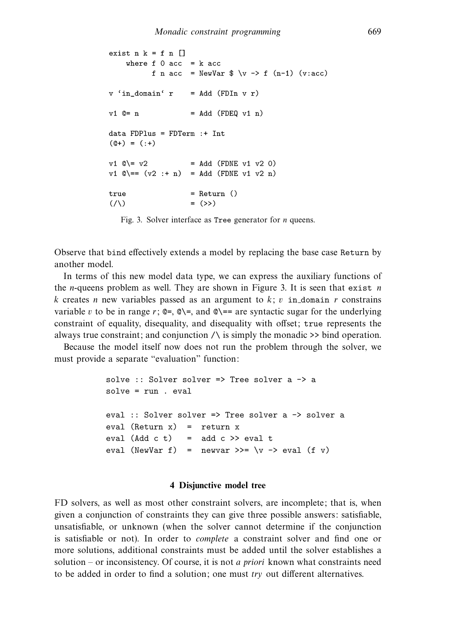```
exist n k = f n []
    where f 0 acc = k acc
          f n acc = NewVar \frac{1}{2} \vee - f (n-1) (v:acc)
v 'in_domain' r = Add (FDIn v r)= Add (FDEQ v1 n)
v1 Q = ndata FDPlus = FDTerm :+ Int
(Q+) = (+)v1 \< = v2= Add (FDNE v1 v2 0)
v1 @>= (v2 : + n) = Add (FDNE v1 v2 n)true
                   = Return ()(1)= (>>)
```
Fig. 3. Solver interface as Tree generator for *n* queens.

Observe that bind effectively extends a model by replacing the base case Return by another model.

In terms of this new model data type, we can express the auxiliary functions of the *n*-queens problem as well. They are shown in Figure 3. It is seen that exist *n k* creates *n* new variables passed as an argument to  $k$ ;  $v$  in domain  $r$  constrains variable *v* to be in range *r*;  $\mathbb{Q} = \mathbb{Q} =$ , and  $\mathbb{Q} =$  are syntactic sugar for the underlying constraint of equality, disequality, and disequality with offset; true represents the always true constraint; and conjunction  $\wedge$  is simply the monadic  $\rightarrow$  bind operation.

Because the model itself now does not run the problem through the solver, we must provide a separate "evaluation" function:

```
solve :: Solver solver => Tree solver a -> a
solve = run . eval
eval :: Solver solver => Tree solver a -> solver a
eval (Return x) = return xeval (Add c t) = add c >> eval t
eval (NewVar f) = newvar >>= \v -> eval (f v)
```
#### **4 Disjunctive model tree**

FD solvers, as well as most other constraint solvers, are incomplete; that is, when given a conjunction of constraints they can give three possible answers: satisfiable, unsatisfiable, or unknown (when the solver cannot determine if the conjunction is satisfiable or not). In order to complete a constraint solver and find one or more solutions, additional constraints must be added until the solver establishes a solution – or inconsistency. Of course, it is not a priori known what constraints need to be added in order to find a solution; one must try out different alternatives.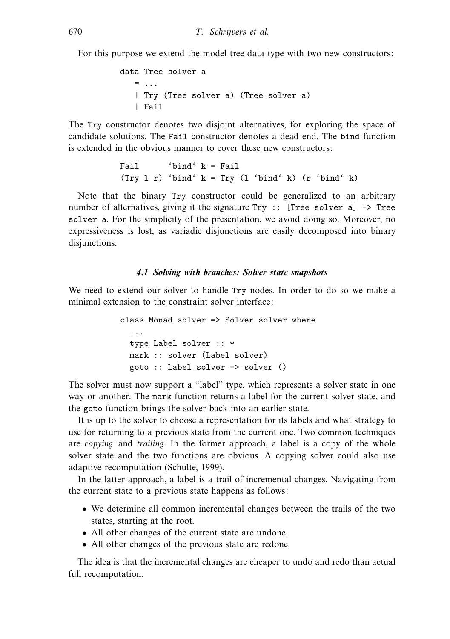For this purpose we extend the model tree data type with two new constructors:

```
data Tree solver a
   = ...
   | Try (Tree solver a) (Tree solver a)
   | Fail
```
The Try constructor denotes two disjoint alternatives, for exploring the space of candidate solutions. The Fail constructor denotes a dead end. The bind function is extended in the obvious manner to cover these new constructors:

```
Fail 'bind' k = Fail
(Try l r) 'bind' k = Try (l 'bind' k) (r 'bind' k)
```
Note that the binary Try constructor could be generalized to an arbitrary number of alternatives, giving it the signature  $Try$  :: [Tree solver a]  $\rightarrow$  Tree solver a. For the simplicity of the presentation, we avoid doing so. Moreover, no expressiveness is lost, as variadic disjunctions are easily decomposed into binary disjunctions.

#### *4.1 Solving with branches: Solver state snapshots*

We need to extend our solver to handle Try nodes. In order to do so we make a minimal extension to the constraint solver interface:

```
class Monad solver => Solver solver where
  ...
  type Label solver :: *
  mark :: solver (Label solver)
  goto :: Label solver -> solver ()
```
The solver must now support a "label" type, which represents a solver state in one way or another. The mark function returns a label for the current solver state, and the goto function brings the solver back into an earlier state.

It is up to the solver to choose a representation for its labels and what strategy to use for returning to a previous state from the current one. Two common techniques are copying and trailing. In the former approach, a label is a copy of the whole solver state and the two functions are obvious. A copying solver could also use adaptive recomputation (Schulte, 1999).

In the latter approach, a label is a trail of incremental changes. Navigating from the current state to a previous state happens as follows:

- We determine all common incremental changes between the trails of the two states, starting at the root.
- All other changes of the current state are undone.
- All other changes of the previous state are redone.

The idea is that the incremental changes are cheaper to undo and redo than actual full recomputation.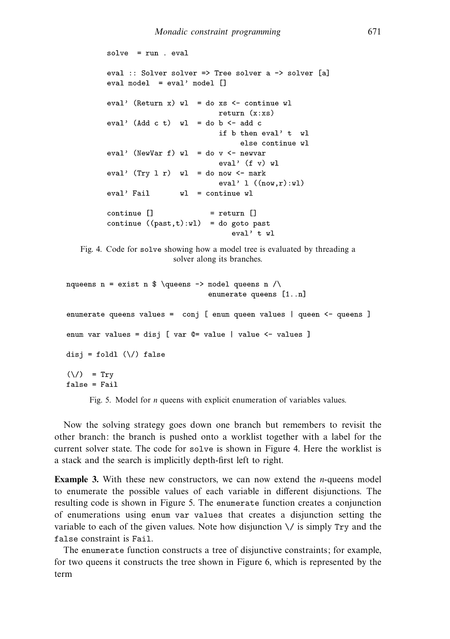```
solve = run. evaleval :: Solver solver => Tree solver a -> solver [a]eval model = eval' model []eval' (Return x) wl = do xs <- continue wl
                         return (x:xs)eval' (Add c t) w1 = do b \leq - add cif b then eval' t wl
                              else continue wl
eval' (NewVar f) wl = do v \le - newvar
                         eval' (f v) wleval' (Try 1 r) wl = do now \leq mark
                         eval' 1 ((now, r):wl)eval' Fail
               wl = continue wlcontinue []
                       = return []continue ((past, t):wl) = do goto pasteval' t wl
```
Fig. 4. Code for solve showing how a model tree is evaluated by threading a solver along its branches.

```
nqueens n = exist n $ \queens -> model queens n / \enumerate queens [1..n]
enumerate queens values = conj [ enum queen values | queen <- queens ]
enum var values = disj [ var @= value | value <- values ]
disj = foldl (\n\backslash) false
(\setminus) = Try
false = Fail
```
Fig. 5. Model for *n* queens with explicit enumeration of variables values.

Now the solving strategy goes down one branch but remembers to revisit the other branch: the branch is pushed onto a worklist together with a label for the current solver state. The code for solve is shown in Figure 4. Here the worklist is a stack and the search is implicitly depth-first left to right.

**Example 3.** With these new constructors, we can now extend the *n*-queens model to enumerate the possible values of each variable in different disjunctions. The resulting code is shown in Figure 5. The enumerate function creates a conjunction of enumerations using enum var values that creates a disjunction setting the variable to each of the given values. Note how disjunction  $\setminus$  is simply Try and the false constraint is Fail.

The enumerate function constructs a tree of disjunctive constraints; for example, for two queens it constructs the tree shown in Figure 6, which is represented by the term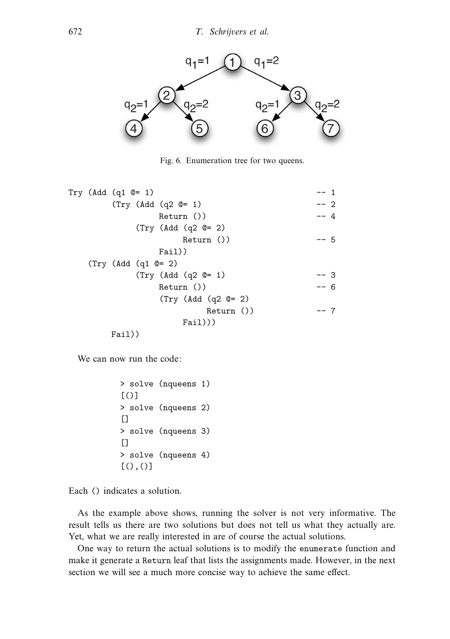

Fig. 6. Enumeration tree for two queens.

```
Try (Add (q1 0= 1) -- 1(Try (Add (q2 @= 1) -- 2)Return ()) -4(Try (Add (q2 @= 2)
             Return () -- 5
           Fail))
  (Try (Add (q1 @= 2)
        (Try (Add (q2 @= 1) -- 3
           Return () -6(Try (Add (q2 @= 2)
                Return () --7
             Fail)))
     Fail))
```
We can now run the code:

```
> solve (nqueens 1)
\lceil()]
> solve (nqueens 2)
\Box> solve (nqueens 3)
\Box> solve (nqueens 4)
[(),()]
```
Each () indicates a solution.

As the example above shows, running the solver is not very informative. The result tells us there are two solutions but does not tell us what they actually are. Yet, what we are really interested in are of course the actual solutions.

One way to return the actual solutions is to modify the enumerate function and make it generate a Return leaf that lists the assignments made. However, in the next section we will see a much more concise way to achieve the same effect.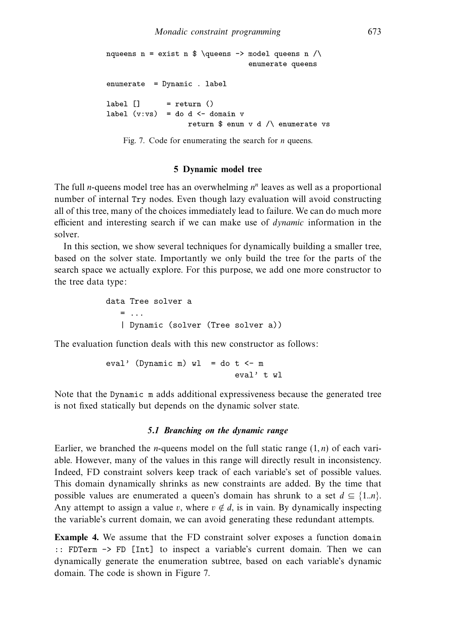```
nqueens n = exist n $ \queens -> model queens n /\
                                  enumerate queens
enumerate = Dynamic . label
label []
              = return ()label (v:vs) = do d \leftarrow domain vreturn $ enum v d /\ enumerate vs
```
Fig. 7. Code for enumerating the search for *n* queens.

# **5 Dynamic model tree**

The full *n*-queens model tree has an overwhelming  $n<sup>n</sup>$  leaves as well as a proportional number of internal Try nodes. Even though lazy evaluation will avoid constructing all of this tree, many of the choices immediately lead to failure. We can do much more efficient and interesting search if we can make use of dynamic information in the solver.

In this section, we show several techniques for dynamically building a smaller tree, based on the solver state. Importantly we only build the tree for the parts of the search space we actually explore. For this purpose, we add one more constructor to the tree data type:

```
data Tree solver a
   = ...
   | Dynamic (solver (Tree solver a))
```
The evaluation function deals with this new constructor as follows:

```
eval' (Dynamic m) w1 = do t < -meval' t wl
```
Note that the Dynamic m adds additional expressiveness because the generated tree is not fixed statically but depends on the dynamic solver state.

#### *5.1 Branching on the dynamic range*

Earlier, we branched the *n*-queens model on the full static range  $(1, n)$  of each variable. However, many of the values in this range will directly result in inconsistency. Indeed, FD constraint solvers keep track of each variable's set of possible values. This domain dynamically shrinks as new constraints are added. By the time that possible values are enumerated a queen's domain has shrunk to a set  $d \subseteq \{1..n\}$ . Any attempt to assign a value *v*, where  $v \notin d$ , is in vain. By dynamically inspecting the variable's current domain, we can avoid generating these redundant attempts.

**Example 4.** We assume that the FD constraint solver exposes a function domain :: FDTerm -> FD [Int] to inspect a variable's current domain. Then we can dynamically generate the enumeration subtree, based on each variable's dynamic domain. The code is shown in Figure 7.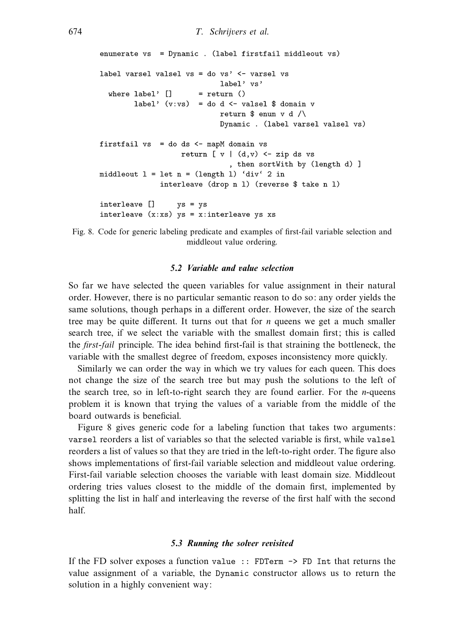```
enumerate vs = Dynamic. (label firstfail middleout vs)
label varsel valsel vs = do vs' \leq varsel vs
                            label' vs'
 where label' []
                       = return ()label' (v:vs) = do d \leftarrow valsel $ domain v
                            return $ enum v d \wedgeDynamic . (label varsel valsel vs)
firstfail vs = do ds < - mapM domain vs
                   return [v | (d,v) <- zip ds vs
                               , then sortWith by (length d) ]
middleout l = let n = (length 1) 'div' 2 ininterleave (drop n 1) (reverse $ take n 1)
interleave []
                  ys = ysinterleave (x:xs) ys = x: interleave ys xs
```


# *5.2 Variable and value selection*

So far we have selected the queen variables for value assignment in their natural order. However, there is no particular semantic reason to do so: any order yields the same solutions, though perhaps in a different order. However, the size of the search tree may be quite different. It turns out that for *n* queens we get a much smaller search tree, if we select the variable with the smallest domain first; this is called the first-fail principle. The idea behind first-fail is that straining the bottleneck, the variable with the smallest degree of freedom, exposes inconsistency more quickly.

Similarly we can order the way in which we try values for each queen. This does not change the size of the search tree but may push the solutions to the left of the search tree, so in left-to-right search they are found earlier. For the *n*-queens problem it is known that trying the values of a variable from the middle of the board outwards is beneficial.

Figure 8 gives generic code for a labeling function that takes two arguments: varsel reorders a list of variables so that the selected variable is first, while valsel reorders a list of values so that they are tried in the left-to-right order. The figure also shows implementations of first-fail variable selection and middleout value ordering. First-fail variable selection chooses the variable with least domain size. Middleout ordering tries values closest to the middle of the domain first, implemented by splitting the list in half and interleaving the reverse of the first half with the second half.

#### *5.3 Running the solver revisited*

If the FD solver exposes a function value :: FDTerm -> FD Int that returns the value assignment of a variable, the Dynamic constructor allows us to return the solution in a highly convenient way: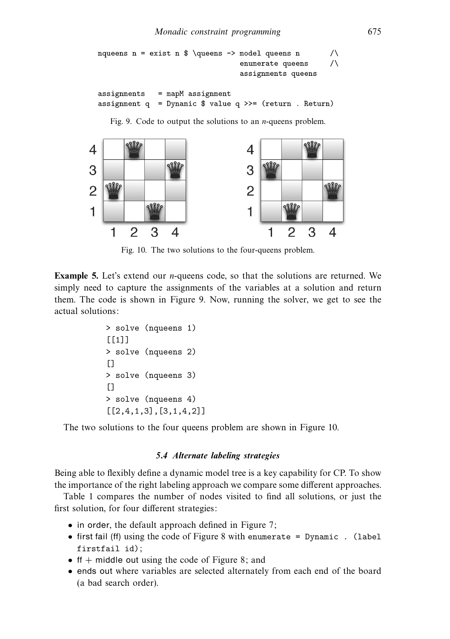```
nqueens n = exist n $ \queens -> model queens n
                                                          \sqrt{}\bigwedgeenumerate queens
                                   assignments queens
assignments
              = mapM assignment
assignment q = Dynamic $ value q \gg = (return. Return)
```
Fig. 9. Code to output the solutions to an *n*-queens problem.



Fig. 10. The two solutions to the four-queens problem.

**Example 5.** Let's extend our *n*-queens code, so that the solutions are returned. We simply need to capture the assignments of the variables at a solution and return them. The code is shown in Figure 9. Now, running the solver, we get to see the actual solutions:

```
> solve (nqueens 1)
[[1]> solve (nqueens 2)
\Box> solve (nqueens 3)
\lceil]
> solve (nqueens 4)
[2,4,1,3], [3,1,4,2]]
```
The two solutions to the four queens problem are shown in Figure 10.

# *5.4 Alternate labeling strategies*

Being able to flexibly define a dynamic model tree is a key capability for CP. To show the importance of the right labeling approach we compare some different approaches.

Table 1 compares the number of nodes visited to find all solutions, or just the first solution, for four different strategies:

- in order, the default approach defined in Figure 7;
- first fail (ff) using the code of Figure 8 with enumerate = Dynamic . (label firstfail id);
- ff  $+$  middle out using the code of Figure 8; and
- ends out where variables are selected alternately from each end of the board (a bad search order).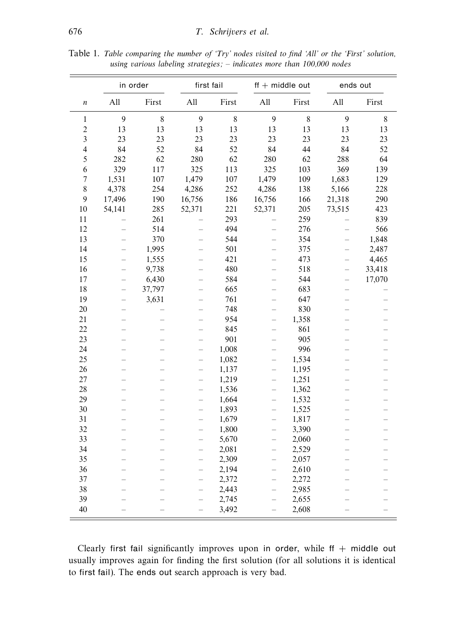Table 1. Table comparing the number of 'Try' nodes visited to find 'All' or the 'First' solution, using various labeling strategies; – indicates more than 100,000 nodes

| in order                |                          |                          | first fail               |         | $ff + middle$ out        | ends out |                          |         |
|-------------------------|--------------------------|--------------------------|--------------------------|---------|--------------------------|----------|--------------------------|---------|
| $\boldsymbol{n}$        | All                      | First                    | All                      | First   | All                      | First    | All                      | First   |
| $1\,$                   | 9                        | 8                        | 9                        | $\,8\,$ | 9                        | $\,8\,$  | $\overline{9}$           | $\,8\,$ |
| $\overline{2}$          | 13                       | 13                       | 13                       | 13      | 13                       | 13       | 13                       | 13      |
| $\overline{\mathbf{3}}$ | 23                       | 23                       | 23                       | 23      | 23                       | 23       | 23                       | 23      |
| $\overline{\mathbf{4}}$ | 84                       | 52                       | 84                       | 52      | 84                       | 44       | 84                       | 52      |
| 5                       | 282                      | 62                       | 280                      | 62      | 280                      | 62       | 288                      | 64      |
| 6                       | 329                      | 117                      | 325                      | 113     | 325                      | 103      | 369                      | 139     |
| $\boldsymbol{7}$        | 1,531                    | 107                      | 1,479                    | 107     | 1,479                    | 109      | 1,683                    | 129     |
| $\,8\,$                 | 4,378                    | 254                      | 4,286                    | 252     | 4,286                    | 138      | 5,166                    | 228     |
| 9                       | 17,496                   | 190                      | 16,756                   | 186     | 16,756                   | 166      | 21,318                   | 290     |
| 10                      | 54,141                   | 285                      | 52,371                   | 221     | 52,371                   | 205      | 73,515                   | 423     |
| 11                      |                          | 261                      | $\overline{\phantom{0}}$ | 293     | $\overline{\phantom{0}}$ | 259      | $\overline{\phantom{0}}$ | 839     |
| 12                      |                          | 514                      |                          | 494     |                          | 276      | $\overline{\phantom{0}}$ | 566     |
| 13                      |                          | 370                      | -                        | 544     |                          | 354      | $\overline{\phantom{0}}$ | 1,848   |
| 14                      |                          | 1,995                    | $\overline{\phantom{0}}$ | 501     |                          | 375      | $\equiv$                 | 2,487   |
| 15                      |                          | 1,555                    |                          | 421     |                          | 473      | $\overline{\phantom{0}}$ | 4,465   |
| 16                      |                          | 9,738                    |                          | 480     |                          | 518      | $\overline{\phantom{0}}$ | 33,418  |
| 17                      | $\overline{\phantom{0}}$ | 6,430                    | $\overline{\phantom{0}}$ | 584     | L                        | 544      | $\overline{\phantom{0}}$ | 17,070  |
| 18                      | $\overline{\phantom{0}}$ | 37,797                   | $\overline{\phantom{0}}$ | 665     | $\overline{\phantom{0}}$ | 683      | $\overline{\phantom{0}}$ |         |
| 19                      |                          | 3,631                    | L,                       | 761     |                          | 647      |                          |         |
| 20                      | $\overline{a}$           |                          | $\overline{\phantom{0}}$ | 748     | L                        | 830      |                          |         |
| 21                      | $\overline{\phantom{0}}$ | ÷                        | $\overline{\phantom{0}}$ | 954     | $\overline{\phantom{0}}$ | 1,358    |                          |         |
| 22                      |                          |                          |                          | 845     | $\overline{\phantom{0}}$ | 861      |                          |         |
| 23                      |                          |                          |                          | 901     |                          | 905      |                          |         |
| 24                      |                          | $\overline{\phantom{0}}$ | $\equiv$                 | 1,008   | $\overline{\phantom{0}}$ | 996      |                          |         |
| 25                      |                          |                          | $\overline{\phantom{0}}$ | 1,082   | $\overline{\phantom{0}}$ | 1,534    |                          |         |
| 26                      |                          |                          | $\overline{\phantom{0}}$ | 1,137   | $\overline{\phantom{0}}$ | 1,195    |                          |         |
| 27                      |                          |                          | $\overline{\phantom{0}}$ | 1,219   | $\overline{\phantom{0}}$ | 1,251    |                          |         |
| 28                      |                          |                          | $\overline{\phantom{0}}$ | 1,536   | $\overline{\phantom{0}}$ | 1,362    |                          |         |
| 29                      |                          |                          | $\overline{\phantom{0}}$ | 1,664   | $\overline{\phantom{0}}$ | 1,532    |                          |         |
| 30                      |                          |                          | $\overline{\phantom{0}}$ | 1,893   | $\overline{\phantom{0}}$ | 1,525    |                          |         |
| 31                      |                          |                          | $\qquad \qquad -$        | 1,679   | $\overline{\phantom{0}}$ | 1,817    |                          |         |
| 32                      |                          |                          | $\overline{\phantom{0}}$ | 1,800   | $\overline{\phantom{0}}$ | 3,390    |                          |         |
| 33                      |                          |                          | $\overline{\phantom{0}}$ | 5,670   | $\overline{\phantom{0}}$ | 2,060    |                          |         |
| 34                      |                          |                          |                          | 2,081   |                          | 2,529    |                          |         |
| 35                      |                          |                          | $\overline{\phantom{0}}$ | 2,309   | $\overline{\phantom{0}}$ | 2,057    |                          |         |
| 36                      |                          |                          | $\overline{\phantom{0}}$ | 2,194   | $\overline{\phantom{0}}$ | 2,610    |                          |         |
| 37                      |                          |                          | $\overline{\phantom{0}}$ | 2,372   | $\overline{\phantom{0}}$ | 2,272    |                          |         |
| 38                      |                          |                          | $\overline{\phantom{0}}$ | 2,443   |                          | 2,985    |                          |         |
| 39                      |                          |                          |                          | 2,745   |                          | 2,655    |                          |         |
| 40                      |                          |                          |                          | 3,492   | $\overline{\phantom{0}}$ | 2,608    | $\overline{\phantom{0}}$ |         |

Clearly first fail significantly improves upon in order, while  $ff +$  middle out usually improves again for finding the first solution (for all solutions it is identical to first fail). The ends out search approach is very bad.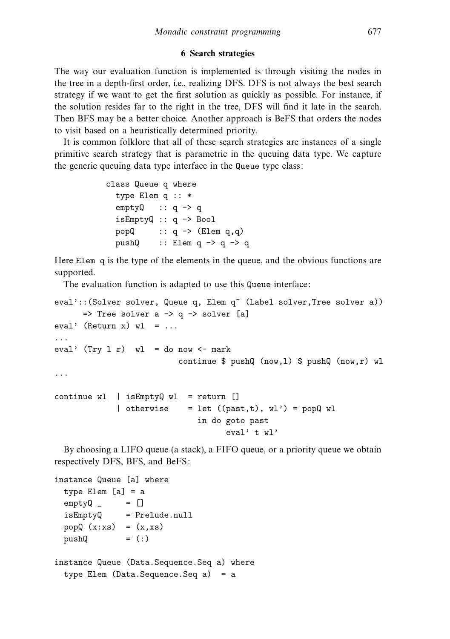# **6 Search strategies**

The way our evaluation function is implemented is through visiting the nodes in the tree in a depth-first order, i.e., realizing DFS. DFS is not always the best search strategy if we want to get the first solution as quickly as possible. For instance, if the solution resides far to the right in the tree, DFS will find it late in the search. Then BFS may be a better choice. Another approach is BeFS that orders the nodes to visit based on a heuristically determined priority.

It is common folklore that all of these search strategies are instances of a single primitive search strategy that is parametric in the queuing data type. We capture the generic queuing data type interface in the Queue type class:

```
class Queue q where
  type Elem q :: *
  emptyQ :: q \rightarrow qisEmptyQ :: q -> Bool
  popQ :: q -> (Elem q,q)
  pushQ :: Elem q \rightarrow q \rightarrow q
```
Here Elem q is the type of the elements in the queue, and the obvious functions are supported.

The evaluation function is adapted to use this Queue interface:

```
eval'::(Solver solver, Queue q, Elem q" (Label solver, Tree solver a))
      \Rightarrow Tree solver a \rightarrow q \rightarrow solver [a]
eval' (Return x) wl = ......
eval' (Try 1 r) wl = do now \leq mark
                            continue $ pushQ (now,l) $ pushQ (now,r) wl
...
continue wl | isEmptyQ wl = return []
              | otherwise = let ((past,t), w1') = popQ w1in do goto past
                                       eval' t wl'
```
By choosing a LIFO queue (a stack), a FIFO queue, or a priority queue we obtain respectively DFS, BFS, and BeFS:

```
instance Queue [a] where
 type Elem [a] = a
 emptyQ = []isEmptyQ = Prelude.null
 popQ(x:xs) = (x,xs)pushQ = (:)instance Queue (Data.Sequence.Seq a) where
 type Elem (Data.Sequence.Seq a) = a
```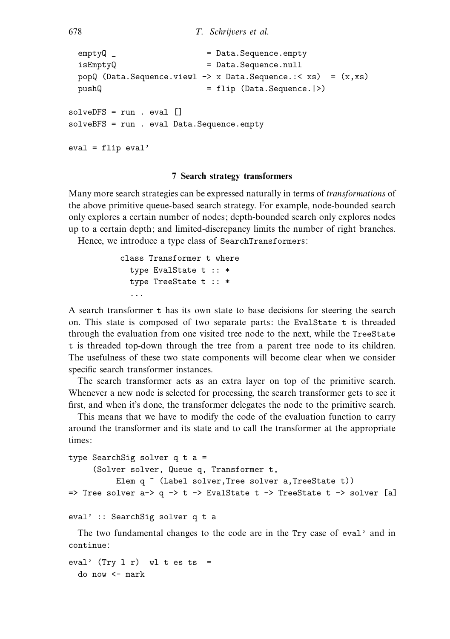```
emptyQ _ = Data.Sequence.empty
 isEmptyQ = Data.Sequence.null
 popQ (Data.Sequence.viewl \rightarrow x Data.Sequence.: \langle xs) = (x, xs)pushQ = flip (Data.Sequence. |>)
solveDFS = run . eval []
solveBFS = run . eval Data.Sequence.empty
eval = flip eval'
```
# **7 Search strategy transformers**

Many more search strategies can be expressed naturally in terms of transformations of the above primitive queue-based search strategy. For example, node-bounded search only explores a certain number of nodes; depth-bounded search only explores nodes up to a certain depth; and limited-discrepancy limits the number of right branches. Hence, we introduce a type class of SearchTransformers:

```
class Transformer t where
  type EvalState t :: *
  type TreeState t :: *
  ...
```
A search transformer t has its own state to base decisions for steering the search on. This state is composed of two separate parts: the EvalState t is threaded through the evaluation from one visited tree node to the next, while the TreeState t is threaded top-down through the tree from a parent tree node to its children. The usefulness of these two state components will become clear when we consider specific search transformer instances.

The search transformer acts as an extra layer on top of the primitive search. Whenever a new node is selected for processing, the search transformer gets to see it first, and when it's done, the transformer delegates the node to the primitive search.

This means that we have to modify the code of the evaluation function to carry around the transformer and its state and to call the transformer at the appropriate times:

```
type SearchSig solver q t a =
     (Solver solver, Queue q, Transformer t,
          Elem q " (Label solver, Tree solver a, TreeState t))
\Rightarrow Tree solver a-> q -> t -> EvalState t -> TreeState t -> solver [a]
eval' :: SearchSig solver q t a
```
The two fundamental changes to the code are in the Try case of eval' and in continue:

```
eval' (Try l r) wl t es ts =
  do now \leq mark
```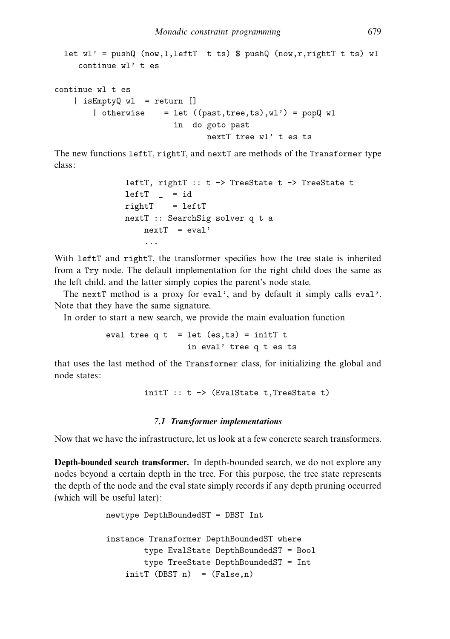```
let wl' = pushQ (now,l,leftT t ts) \ pushQ (now,r,rightT t ts) wl
     continue wl' t es
continue wl t es
    | isEmptyQ wl = return []
        | otherwise = let ((past, tree, ts), w1') = popQ w1in do goto past
                               nextT tree wl' t es ts
```
The new functions leftT, rightT, and nextT are methods of the Transformer type class:

```
leftT, rightT :: t -> TreeState t -> TreeState t
leftT = = id
rightT = leftTnextT :: SearchSig solver q t a
   nextT = eval'...
```
With leftT and rightT, the transformer specifies how the tree state is inherited from a Try node. The default implementation for the right child does the same as the left child, and the latter simply copies the parent's node state.

The nextT method is a proxy for eval', and by default it simply calls eval'. Note that they have the same signature.

In order to start a new search, we provide the main evaluation function

eval tree q  $t = let (es, ts) = initT t$ in eval' tree q t es ts

that uses the last method of the Transformer class, for initializing the global and node states:

initT  $: t \rightarrow$  (EvalState  $t$ , TreeState  $t$ )

# *7.1 Transformer implementations*

Now that we have the infrastructure, let us look at a few concrete search transformers.

**Depth-bounded search transformer.** In depth-bounded search, we do not explore any nodes beyond a certain depth in the tree. For this purpose, the tree state represents the depth of the node and the eval state simply records if any depth pruning occurred (which will be useful later):

```
newtype DepthBoundedST = DBST Int
instance Transformer DepthBoundedST where
        type EvalState DepthBoundedST = Bool
        type TreeState DepthBoundedST = Int
    initT (DBST n) = (False, n)
```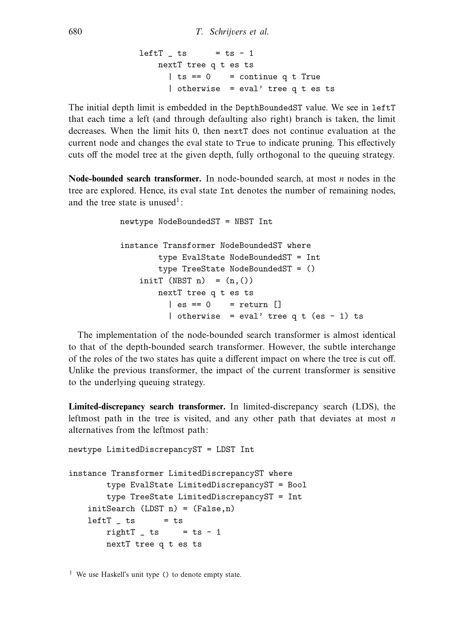```
left \_ ts = ts - 1
   nextT tree q t es ts
     | ts == 0 = continue q t True
     | otherwise = eval' tree q t es ts
```
The initial depth limit is embedded in the DepthBoundedST value. We see in leftT that each time a left (and through defaulting also right) branch is taken, the limit decreases. When the limit hits 0, then nextT does not continue evaluation at the current node and changes the eval state to True to indicate pruning. This effectively cuts off the model tree at the given depth, fully orthogonal to the queuing strategy.

**Node-bounded search transformer.** In node-bounded search, at most *n* nodes in the tree are explored. Hence, its eval state Int denotes the number of remaining nodes, and the tree state is unused<sup>1</sup>:

```
newtype NodeBoundedST = NBST Int
instance Transformer NodeBoundedST where
        type EvalState NodeBoundedST = Int
        type TreeState NodeBoundedST = ()
    initT (N\text{BST} n) = (n,())nextT tree q t es ts
          \vert es == 0 = return \vert| otherwise = eval' tree q t (es - 1) ts
```
The implementation of the node-bounded search transformer is almost identical to that of the depth-bounded search transformer. However, the subtle interchange of the roles of the two states has quite a different impact on where the tree is cut off. Unlike the previous transformer, the impact of the current transformer is sensitive to the underlying queuing strategy.

**Limited-discrepancy search transformer.** In limited-discrepancy search (LDS), the leftmost path in the tree is visited, and any other path that deviates at most *n* alternatives from the leftmost path:

```
newtype LimitedDiscrepancyST = LDST Int
instance Transformer LimitedDiscrepancyST where
       type EvalState LimitedDiscrepancyST = Bool
        type TreeState LimitedDiscrepancyST = Int
    initSearch (LDST n) = (False, n)
   left \_ ts = ts
       rightT _ ts = ts - 1
       nextT tree q t es ts
```
<sup>1</sup> We use Haskell's unit type () to denote empty state.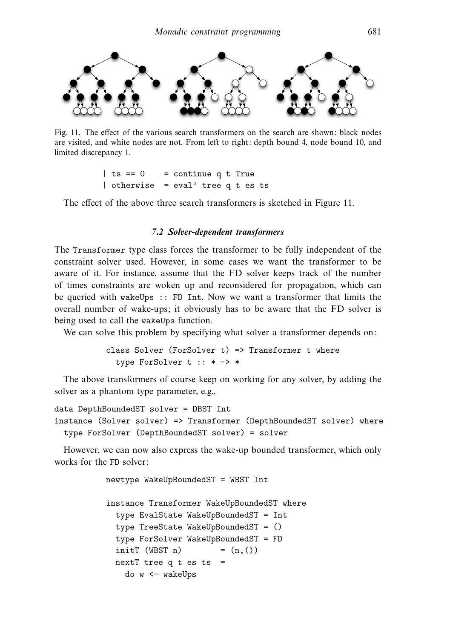

Fig. 11. The effect of the various search transformers on the search are shown: black nodes are visited, and white nodes are not. From left to right: depth bound 4, node bound 10, and limited discrepancy 1.

| $ts == 0$                        | $=$ continue q t True |  |  |  |
|----------------------------------|-----------------------|--|--|--|
| otherwise = eval' tree q t es ts |                       |  |  |  |

The effect of the above three search transformers is sketched in Figure 11.

#### *7.2 Solver-dependent transformers*

The Transformer type class forces the transformer to be fully independent of the constraint solver used. However, in some cases we want the transformer to be aware of it. For instance, assume that the FD solver keeps track of the number of times constraints are woken up and reconsidered for propagation, which can be queried with wakeUps :: FD Int. Now we want a transformer that limits the overall number of wake-ups; it obviously has to be aware that the FD solver is being used to call the wakeUps function.

We can solve this problem by specifying what solver a transformer depends on:

```
class Solver (ForSolver t) => Transformer t where
 type ForSolver t :: * -> *
```
The above transformers of course keep on working for any solver, by adding the solver as a phantom type parameter, e.g.,

data DepthBoundedST solver = DBST Int instance (Solver solver) => Transformer (DepthBoundedST solver) where type ForSolver (DepthBoundedST solver) = solver

However, we can now also express the wake-up bounded transformer, which only works for the FD solver:

```
newtype WakeUpBoundedST = WBST Int
instance Transformer WakeUpBoundedST where
  type EvalState WakeUpBoundedST = Int
  type TreeState WakeUpBoundedST = ()
  type ForSolver WakeUpBoundedST = FD
  initT (WBST n) = (n,())nextT tree q t es ts =
    do w <- wakeUps
```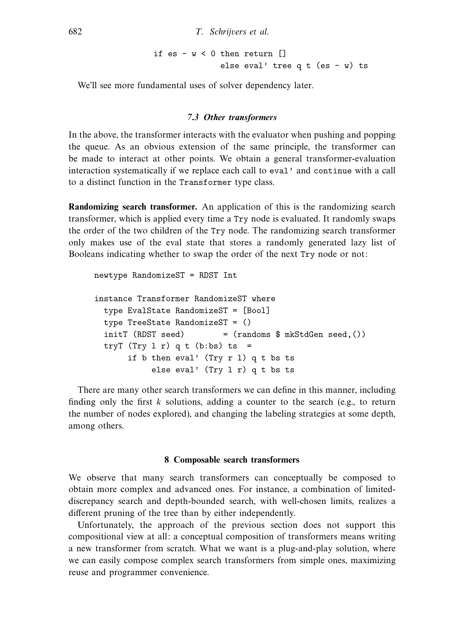```
if es - w < 0 then return []else eval' tree q t (es - w) ts
```
We'll see more fundamental uses of solver dependency later.

# *7.3 Other transformers*

In the above, the transformer interacts with the evaluator when pushing and popping the queue. As an obvious extension of the same principle, the transformer can be made to interact at other points. We obtain a general transformer-evaluation interaction systematically if we replace each call to eval' and continue with a call to a distinct function in the Transformer type class.

**Randomizing search transformer.** An application of this is the randomizing search transformer, which is applied every time a Try node is evaluated. It randomly swaps the order of the two children of the Try node. The randomizing search transformer only makes use of the eval state that stores a randomly generated lazy list of Booleans indicating whether to swap the order of the next Try node or not:

```
newtype RandomizeST = RDST Int
instance Transformer RandomizeST where
  type EvalState RandomizeST = [Bool]
  type TreeState RandomizeST = ()
  initT (RDST seed) = (randoms \text{\$mkStdGen seed, ()})
  tryT (Try 1 r) q t (b:bs) ts =if b then eval' (Try r l) q t bs ts
            else eval' (Try l r) q t bs ts
```
There are many other search transformers we can define in this manner, including finding only the first *k* solutions, adding a counter to the search (e.g., to return the number of nodes explored), and changing the labeling strategies at some depth, among others.

#### **8 Composable search transformers**

We observe that many search transformers can conceptually be composed to obtain more complex and advanced ones. For instance, a combination of limiteddiscrepancy search and depth-bounded search, with well-chosen limits, realizes a different pruning of the tree than by either independently.

Unfortunately, the approach of the previous section does not support this compositional view at all: a conceptual composition of transformers means writing a new transformer from scratch. What we want is a plug-and-play solution, where we can easily compose complex search transformers from simple ones, maximizing reuse and programmer convenience.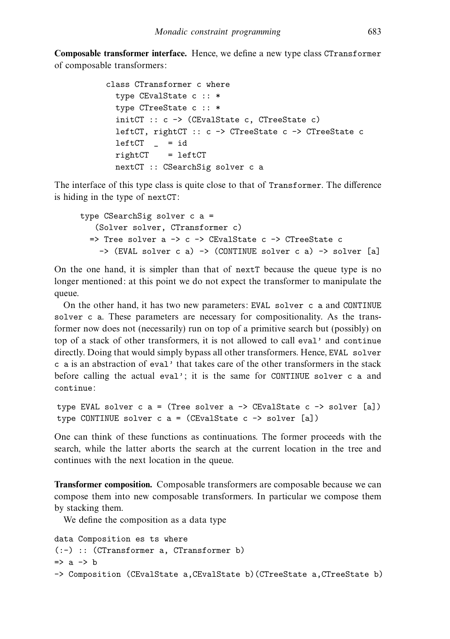**Composable transformer interface.** Hence, we define a new type class CTransformer of composable transformers:

```
class CTransformer c where
 type CEvalState c :: *
 type CTreeState c :: *
 initCT :: c -> (CEvalState c, CTreeState c)
 leftCT, rightCT :: c -> CTreeState c -> CTreeState c
 leftCT = idrightCT = leftCTnextCT :: CSearchSig solver c a
```
The interface of this type class is quite close to that of Transformer. The difference is hiding in the type of nextCT:

```
type CSearchSig solver c a =
   (Solver solver, CTransformer c)
  \Rightarrow Tree solver a \Rightarrow c \Rightarrow CEvalState c \Rightarrow CTreeState c
     -> (EVAL solver c a) -> (CONTINUE solver c a) -> solver [a]
```
On the one hand, it is simpler than that of nextT because the queue type is no longer mentioned: at this point we do not expect the transformer to manipulate the queue.

On the other hand, it has two new parameters: EVAL solver c a and CONTINUE solver c a. These parameters are necessary for compositionality. As the transformer now does not (necessarily) run on top of a primitive search but (possibly) on top of a stack of other transformers, it is not allowed to call eval' and continue directly. Doing that would simply bypass all other transformers. Hence, EVAL solver c a is an abstraction of eval' that takes care of the other transformers in the stack before calling the actual eval'; it is the same for CONTINUE solver c a and continue:

```
type EVAL solver c a = (Tree solver a \rightarrow CEvalState c \rightarrow solver [a])
type CONTINUE solver c a = (CEvalState c \rightarrow solver [a])
```
One can think of these functions as continuations. The former proceeds with the search, while the latter aborts the search at the current location in the tree and continues with the next location in the queue.

**Transformer composition.** Composable transformers are composable because we can compose them into new composable transformers. In particular we compose them by stacking them.

We define the composition as a data type

```
data Composition es ts where
(:-) :: (CTransformer a, CTransformer b)
\Rightarrow a \rightarrow b
-> Composition (CEvalState a,CEvalState b)(CTreeState a,CTreeState b)
```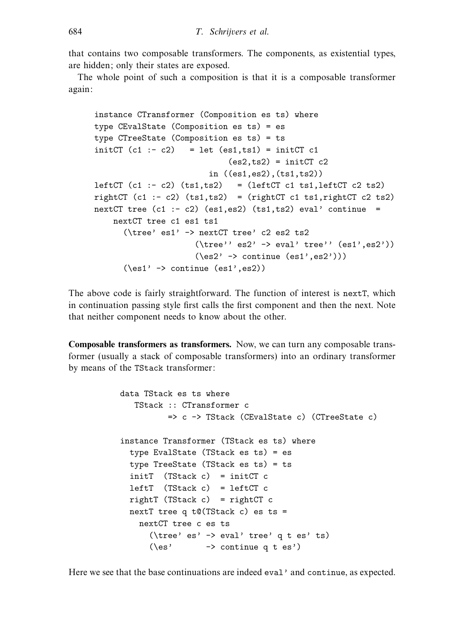that contains two composable transformers. The components, as existential types, are hidden; only their states are exposed.

The whole point of such a composition is that it is a composable transformer again:

```
instance CTransformer (Composition es ts) where
type CEvalState (Composition es ts) = es
type CTreeState (Composition es ts) = ts
initCT (c1 :- c2) = let (es1,ts1) = initCT c1
                                 (es2, ts2) = initCT c2in ((es1,es2),(ts1,ts2))
leftCT (c1 :- c2) (ts1, ts2) = (leftCT c1 ts1, leftCT c2 ts2)rightCT (c1 : -c2) (ts1, ts2) = (rightCT c1 ts1, rightCT c2 ts2)nextCT tree (c1 - c2) (es1, es2) (ts1, ts2) eval' continue =
    nextCT tree c1 es1 ts1
       (\tree' es1' -> nextCT tree' c2 es2 ts2
                         (\text{tree''} \text{ es2'} \rightarrow \text{eval'} \text{tree''} \text{ (es1'},\text{es2'}))(\text{es2'} \rightarrow \text{continue } (\text{es1'}, \text{es2'})))(\es1' \rightarrow \text{continue } (es1', es2))
```
The above code is fairly straightforward. The function of interest is nextT, which in continuation passing style first calls the first component and then the next. Note that neither component needs to know about the other.

**Composable transformers as transformers.** Now, we can turn any composable transformer (usually a stack of composable transformers) into an ordinary transformer by means of the TStack transformer:

```
data TStack es ts where
   TStack :: CTransformer c
          => c -> TStack (CEvalState c) (CTreeState c)
instance Transformer (TStack es ts) where
  type EvalState (TStack es ts) = es
  type TreeState (TStack es ts) = ts
  initT (TStack c) = initCT c
  left (TStack c) = leftCT c
  rightT (TStack c) = rightCT c
  nextT tree q t@(TStack c) es ts =
    nextCT tree c es ts
      (\tree' es' -> eval' tree' q t es' ts)
      (\text{es'} \rightarrow \text{continue } q \text{ t } \text{es'})
```
Here we see that the base continuations are indeed eval' and continue, as expected.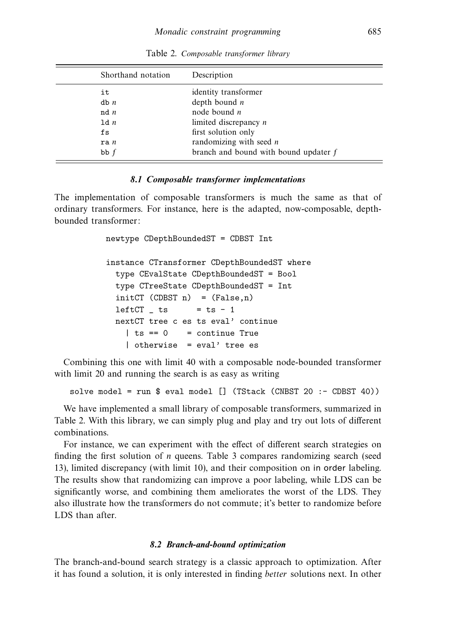| Shorthand notation | Description                             |
|--------------------|-----------------------------------------|
| it                 | identity transformer                    |
| db n               | depth bound $n$                         |
| ndn                | node bound $n$                          |
| 1d n               | limited discrepancy $n$                 |
| f s                | first solution only                     |
| ra n               | randomizing with seed $n$               |
| bbf                | branch and bound with bound updater $f$ |
|                    |                                         |

Table 2. Composable transformer library

# *8.1 Composable transformer implementations*

The implementation of composable transformers is much the same as that of ordinary transformers. For instance, here is the adapted, now-composable, depthbounded transformer:

```
newtype CDepthBoundedST = CDBST Int
instance CTransformer CDepthBoundedST where
  type CEvalState CDepthBoundedST = Bool
  type CTreeState CDepthBoundedST = Int
  initCT (CDBST n) = (False, n)leftCT ts = ts - 1nextCT tree c es ts eval' continue
    | ts == 0 = continue True
    | otherwise = eval' tree es
```
Combining this one with limit 40 with a composable node-bounded transformer with limit 20 and running the search is as easy as writing

solve model = run \$ eval model [] (TStack (CNBST 20 :- CDBST 40))

We have implemented a small library of composable transformers, summarized in Table 2. With this library, we can simply plug and play and try out lots of different combinations.

For instance, we can experiment with the effect of different search strategies on finding the first solution of *n* queens. Table 3 compares randomizing search (seed 13), limited discrepancy (with limit 10), and their composition on in order labeling. The results show that randomizing can improve a poor labeling, while LDS can be significantly worse, and combining them ameliorates the worst of the LDS. They also illustrate how the transformers do not commute; it's better to randomize before LDS than after.

#### *8.2 Branch-and-bound optimization*

The branch-and-bound search strategy is a classic approach to optimization. After it has found a solution, it is only interested in finding better solutions next. In other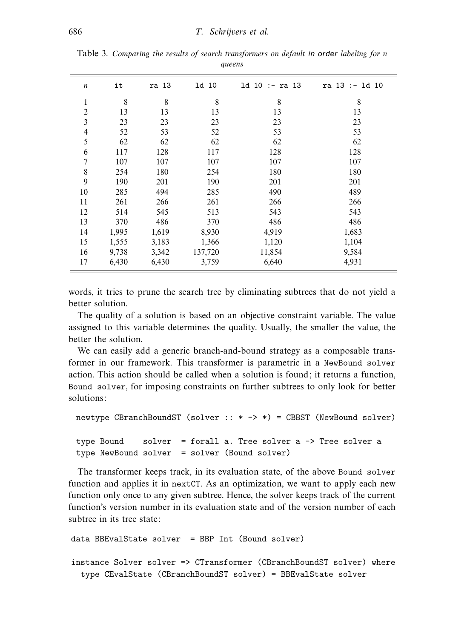| $\boldsymbol{n}$ | it    | ra 13 | 1d 10   | 1d $10 := ra$ 13 | ra 13 :- 1d 10 |
|------------------|-------|-------|---------|------------------|----------------|
| 1                | 8     | 8     | 8       | 8                | 8              |
| $\overline{c}$   | 13    | 13    | 13      | 13               | 13             |
| 3                | 23    | 23    | 23      | 23               | 23             |
| $\overline{4}$   | 52    | 53    | 52      | 53               | 53             |
| 5                | 62    | 62    | 62      | 62               | 62             |
| 6                | 117   | 128   | 117     | 128              | 128            |
| 7                | 107   | 107   | 107     | 107              | 107            |
| 8                | 254   | 180   | 254     | 180              | 180            |
| 9                | 190   | 201   | 190     | 201              | 201            |
| 10               | 285   | 494   | 285     | 490              | 489            |
| 11               | 261   | 266   | 261     | 266              | 266            |
| 12               | 514   | 545   | 513     | 543              | 543            |
| 13               | 370   | 486   | 370     | 486              | 486            |
| 14               | 1,995 | 1,619 | 8,930   | 4,919            | 1,683          |
| 15               | 1,555 | 3,183 | 1,366   | 1,120            | 1,104          |
| 16               | 9,738 | 3,342 | 137,720 | 11,854           | 9,584          |
| 17               | 6,430 | 6,430 | 3,759   | 6,640            | 4,931          |

Table 3. Comparing the results of search transformers on default in order labeling for *n* queens

words, it tries to prune the search tree by eliminating subtrees that do not yield a better solution.

The quality of a solution is based on an objective constraint variable. The value assigned to this variable determines the quality. Usually, the smaller the value, the better the solution.

We can easily add a generic branch-and-bound strategy as a composable transformer in our framework. This transformer is parametric in a NewBound solver action. This action should be called when a solution is found; it returns a function, Bound solver, for imposing constraints on further subtrees to only look for better solutions:

```
newtype CBranchBoundST (solver :: * -> *) = CBBST (NewBound solver)
type Bound solver = forall a. Tree solver a -> Tree solver a
type NewBound solver = solver (Bound solver)
```
The transformer keeps track, in its evaluation state, of the above Bound solver function and applies it in nextCT. As an optimization, we want to apply each new function only once to any given subtree. Hence, the solver keeps track of the current function's version number in its evaluation state and of the version number of each subtree in its tree state:

```
data BBEvalState solver = BBP Int (Bound solver)
instance Solver solver => CTransformer (CBranchBoundST solver) where
  type CEvalState (CBranchBoundST solver) = BBEvalState solver
```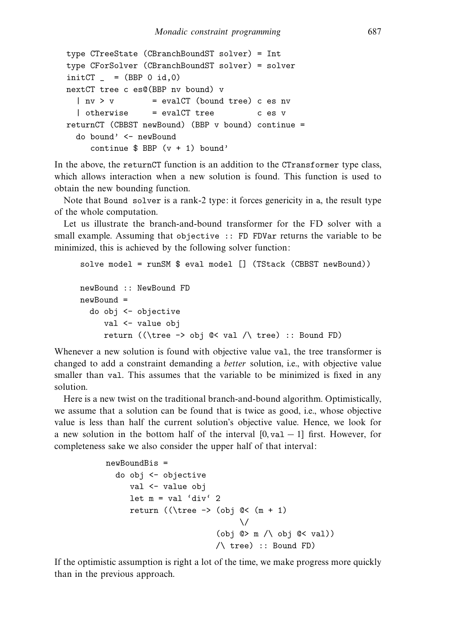```
type CTreeState (CBranchBoundST solver) = Int
type CForSolver (CBranchBoundST solver) = solver
initCT = (BBP 0 id, 0)nextCT tree c es@(BBP nv bound) v
  | nv > v = evalCT (bound tree) c es nv
  | otherwise = evalCT tree c es v
returnCT (CBBST newBound) (BBP v bound) continue =
 do bound' <- newBound
    continue $ BBP (v + 1) bound'
```
In the above, the returnCT function is an addition to the CTransformer type class, which allows interaction when a new solution is found. This function is used to obtain the new bounding function.

Note that Bound solver is a rank-2 type: it forces genericity in a, the result type of the whole computation.

Let us illustrate the branch-and-bound transformer for the FD solver with a small example. Assuming that objective :: FD FDVar returns the variable to be minimized, this is achieved by the following solver function:

```
solve model = runSM $ eval model [] (TStack (CBBST newBound))
newBound :: NewBound FD
newBound =
  do obj <- objective
     val <- value obj
     return ((\tree -> obj @< val /\ tree) :: Bound FD)
```
Whenever a new solution is found with objective value val, the tree transformer is changed to add a constraint demanding a better solution, i.e., with objective value smaller than val. This assumes that the variable to be minimized is fixed in any solution.

Here is a new twist on the traditional branch-and-bound algorithm. Optimistically, we assume that a solution can be found that is twice as good, i.e., whose objective value is less than half the current solution's objective value. Hence, we look for a new solution in the bottom half of the interval [0*,* val − 1] first. However, for completeness sake we also consider the upper half of that interval:

```
newBoundBis =
  do obj <- objective
     val <- value obj
     let m = val 'div' 2return ((\tree -> (obj \mathbb{C} (m + 1)
                               \sqrt{ }(obj Q > m / obj Q < val)
                         /\ tree) :: Bound FD)
```
If the optimistic assumption is right a lot of the time, we make progress more quickly than in the previous approach.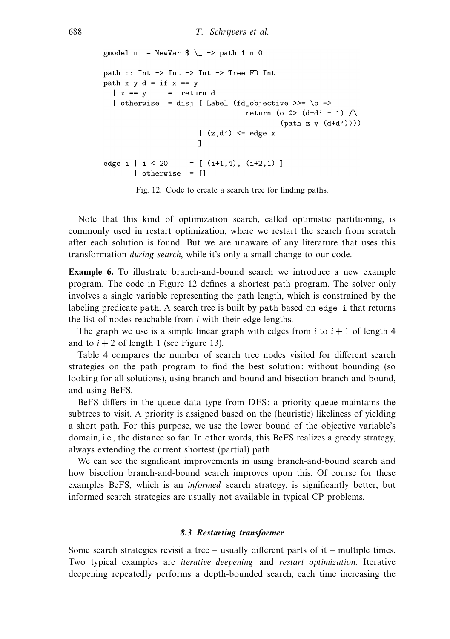```
gmodel n = NewVar $ \_ -> path 1 n 0
path :: Int -> Int -> Int -> Tree FD Int
path x \ y d = if x == y\vert x \vert == y= return d
  | otherwise = disj [ Label (fd_objective >>= \o ->
                                    return (o \& (d+d' - 1) /
                                             (path z y (d+d'))))|(z, d')| \leq - \text{edge } x\mathbf{I}edge i | i < 20 = [(i+1, 4), (i+2, 1)]\vert otherwise = \vert
```
Fig. 12. Code to create a search tree for finding paths.

Note that this kind of optimization search, called optimistic partitioning, is commonly used in restart optimization, where we restart the search from scratch after each solution is found. But we are unaware of any literature that uses this transformation during search, while it's only a small change to our code.

**Example 6.** To illustrate branch-and-bound search we introduce a new example program. The code in Figure 12 defines a shortest path program. The solver only involves a single variable representing the path length, which is constrained by the labeling predicate path. A search tree is built by path based on edge i that returns the list of nodes reachable from *i* with their edge lengths.

The graph we use is a simple linear graph with edges from  $i$  to  $i + 1$  of length 4 and to  $i + 2$  of length 1 (see Figure 13).

Table 4 compares the number of search tree nodes visited for different search strategies on the path program to find the best solution: without bounding (so looking for all solutions), using branch and bound and bisection branch and bound, and using BeFS.

BeFS differs in the queue data type from DFS: a priority queue maintains the subtrees to visit. A priority is assigned based on the (heuristic) likeliness of yielding a short path. For this purpose, we use the lower bound of the objective variable's domain, i.e., the distance so far. In other words, this BeFS realizes a greedy strategy, always extending the current shortest (partial) path.

We can see the significant improvements in using branch-and-bound search and how bisection branch-and-bound search improves upon this. Of course for these examples BeFS, which is an informed search strategy, is significantly better, but informed search strategies are usually not available in typical CP problems.

#### *8.3 Restarting transformer*

Some search strategies revisit a tree – usually different parts of  $it$  – multiple times. Two typical examples are iterative deepening and restart optimization. Iterative deepening repeatedly performs a depth-bounded search, each time increasing the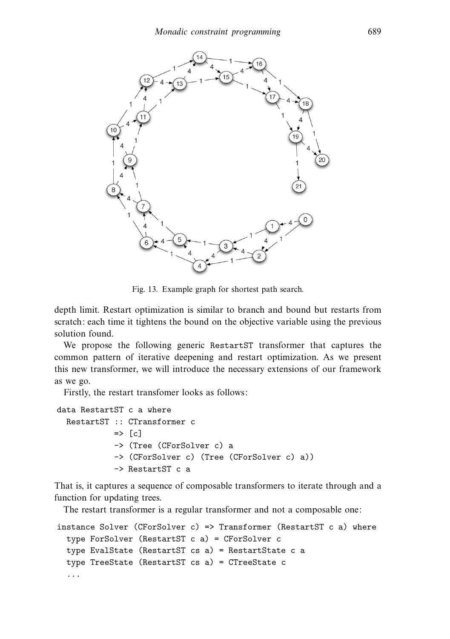

Fig. 13. Example graph for shortest path search.

depth limit. Restart optimization is similar to branch and bound but restarts from scratch: each time it tightens the bound on the objective variable using the previous solution found.

We propose the following generic RestartST transformer that captures the common pattern of iterative deepening and restart optimization. As we present this new transformer, we will introduce the necessary extensions of our framework as we go.

Firstly, the restart transfomer looks as follows:

```
data RestartST c a where
  RestartST :: CTransformer c
            \Rightarrow [c]
            -> (Tree (CForSolver c) a
            -> (CForSolver c) (Tree (CForSolver c) a))
            -> RestartST c a
```
That is, it captures a sequence of composable transformers to iterate through and a function for updating trees.

The restart transformer is a regular transformer and not a composable one:

```
instance Solver (CForSolver c) => Transformer (RestartST c a) where
 type ForSolver (RestartST c a) = CForSolver c
 type EvalState (RestartST cs a) = RestartState c a
 type TreeState (RestartST cs a) = CTreeState c
  ...
```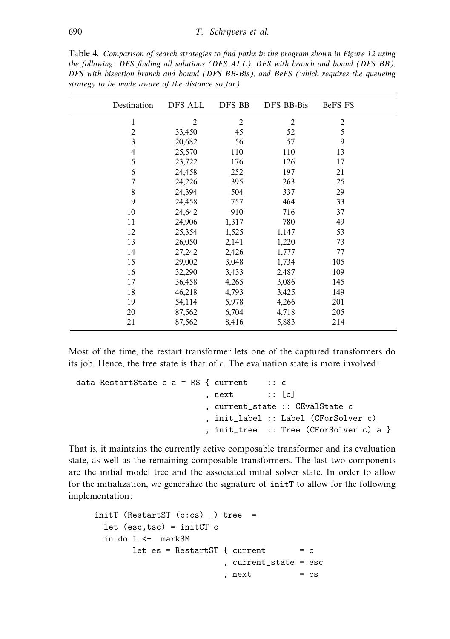Table 4. Comparison of search strategies to find paths in the program shown in Figure 12 using the following: DFS finding all solutions (DFS ALL), DFS with branch and bound (DFS BB), DFS with bisection branch and bound (DFS BB-Bis), and BeFS (which requires the queueing strategy to be made aware of the distance so far)

| Destination      | DFS ALL        | DFS BB         | DFS BB-Bis | BeFS FS        |
|------------------|----------------|----------------|------------|----------------|
| $\mathbf{1}$     | $\overline{2}$ | $\overline{2}$ | 2          | $\overline{c}$ |
| $\boldsymbol{2}$ | 33,450         | 45             | 52         | 5              |
| $\overline{3}$   | 20,682         | 56             | 57         | 9              |
| 4                | 25,570         | 110            | 110        | 13             |
| 5                | 23,722         | 176            | 126        | 17             |
| 6                | 24,458         | 252            | 197        | 21             |
| $\boldsymbol{7}$ | 24,226         | 395            | 263        | 25             |
| 8                | 24,394         | 504            | 337        | 29             |
| 9                | 24,458         | 757            | 464        | 33             |
| 10               | 24,642         | 910            | 716        | 37             |
| 11               | 24,906         | 1,317          | 780        | 49             |
| 12               | 25,354         | 1,525          | 1,147      | 53             |
| 13               | 26,050         | 2,141          | 1,220      | 73             |
| 14               | 27,242         | 2,426          | 1,777      | 77             |
| 15               | 29,002         | 3,048          | 1,734      | 105            |
| 16               | 32,290         | 3,433          | 2,487      | 109            |
| 17               | 36,458         | 4,265          | 3,086      | 145            |
| 18               | 46,218         | 4,793          | 3,425      | 149            |
| 19               | 54,114         | 5,978          | 4,266      | 201            |
| 20               | 87,562         | 6,704          | 4,718      | 205            |
| 21               | 87,562         | 8,416          | 5,883      | 214            |

Most of the time, the restart transformer lets one of the captured transformers do its job. Hence, the tree state is that of *c*. The evaluation state is more involved:

```
data RestartState c a = RS { current :: c, next :: [c]
                          , current_state :: CEvalState c
                          , init_label :: Label (CForSolver c)
                          , init_tree :: Tree (CForSolver c) a }
```
That is, it maintains the currently active composable transformer and its evaluation state, as well as the remaining composable transformers. The last two components are the initial model tree and the associated initial solver state. In order to allow for the initialization, we generalize the signature of initT to allow for the following implementation:

```
initT (RestartST (c:cs) _) tree =
 let (esc, tsc) = initCT cin do l <- markSM
       let es = RestartST { current = c}, current_state = esc
                        , next = cs
```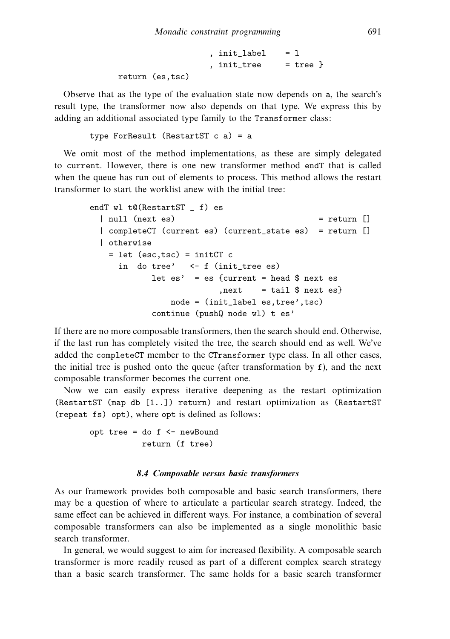```
, init\_label = 1, init\_tree = tree}
return (es,tsc)
```
Observe that as the type of the evaluation state now depends on a, the search's result type, the transformer now also depends on that type. We express this by adding an additional associated type family to the Transformer class:

type ForResult (RestartST c a) = a

We omit most of the method implementations, as these are simply delegated to current. However, there is one new transformer method endT that is called when the queue has run out of elements to process. This method allows the restart transformer to start the worklist anew with the initial tree:

```
endT wl t@(RestartST _ f) es
  | null (next es) = return []
  | completeCT (current es) (current_state es) = return []
  | otherwise
   = let (esc,tsc) = initCT c
     in do tree' <- f (init_tree es)
            let es' = es {current = head $ next es
                         , next = tail \text{\$ next} es}
               node = (init_label es,tree',tsc)
            continue (pushQ node wl) t es'
```
If there are no more composable transformers, then the search should end. Otherwise, if the last run has completely visited the tree, the search should end as well. We've added the completeCT member to the CTransformer type class. In all other cases, the initial tree is pushed onto the queue (after transformation by f), and the next composable transformer becomes the current one.

Now we can easily express iterative deepening as the restart optimization (RestartST (map db [1..]) return) and restart optimization as (RestartST (repeat fs) opt), where opt is defined as follows:

```
opt tree = do f <- newBound
           return (f tree)
```
# *8.4 Composable versus basic transformers*

As our framework provides both composable and basic search transformers, there may be a question of where to articulate a particular search strategy. Indeed, the same effect can be achieved in different ways. For instance, a combination of several composable transformers can also be implemented as a single monolithic basic search transformer.

In general, we would suggest to aim for increased flexibility. A composable search transformer is more readily reused as part of a different complex search strategy than a basic search transformer. The same holds for a basic search transformer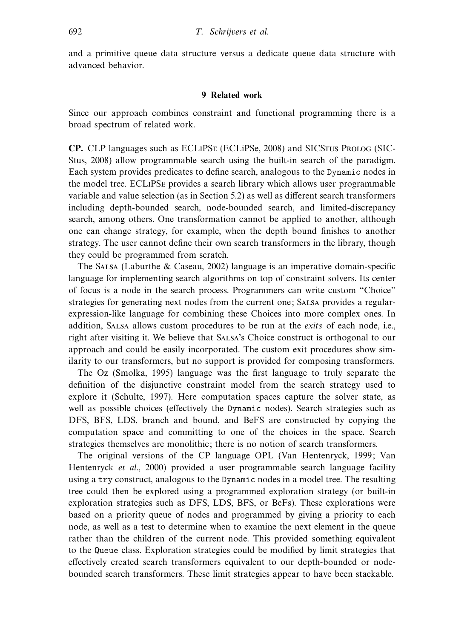and a primitive queue data structure versus a dedicate queue data structure with advanced behavior.

# **9 Related work**

Since our approach combines constraint and functional programming there is a broad spectrum of related work.

**CP.** CLP languages such as ECLiPSe (ECLiPSe, 2008) and SICStus Prolog (SIC-Stus, 2008) allow programmable search using the built-in search of the paradigm. Each system provides predicates to define search, analogous to the Dynamic nodes in the model tree. ECLiPSe provides a search library which allows user programmable variable and value selection (as in Section 5.2) as well as different search transformers including depth-bounded search, node-bounded search, and limited-discrepancy search, among others. One transformation cannot be applied to another, although one can change strategy, for example, when the depth bound finishes to another strategy. The user cannot define their own search transformers in the library, though they could be programmed from scratch.

The Salsa (Laburthe & Caseau, 2002) language is an imperative domain-specific language for implementing search algorithms on top of constraint solvers. Its center of focus is a node in the search process. Programmers can write custom "Choice" strategies for generating next nodes from the current one; Salsa provides a regularexpression-like language for combining these Choices into more complex ones. In addition, Salsa allows custom procedures to be run at the exits of each node, i.e., right after visiting it. We believe that Salsa's Choice construct is orthogonal to our approach and could be easily incorporated. The custom exit procedures show similarity to our transformers, but no support is provided for composing transformers.

The Oz (Smolka, 1995) language was the first language to truly separate the definition of the disjunctive constraint model from the search strategy used to explore it (Schulte, 1997). Here computation spaces capture the solver state, as well as possible choices (effectively the Dynamic nodes). Search strategies such as DFS, BFS, LDS, branch and bound, and BeFS are constructed by copying the computation space and committing to one of the choices in the space. Search strategies themselves are monolithic; there is no notion of search transformers.

The original versions of the CP language OPL (Van Hentenryck, 1999; Van Hentenryck et al., 2000) provided a user programmable search language facility using a try construct, analogous to the Dynamic nodes in a model tree. The resulting tree could then be explored using a programmed exploration strategy (or built-in exploration strategies such as DFS, LDS, BFS, or BeFs). These explorations were based on a priority queue of nodes and programmed by giving a priority to each node, as well as a test to determine when to examine the next element in the queue rather than the children of the current node. This provided something equivalent to the Queue class. Exploration strategies could be modified by limit strategies that effectively created search transformers equivalent to our depth-bounded or nodebounded search transformers. These limit strategies appear to have been stackable.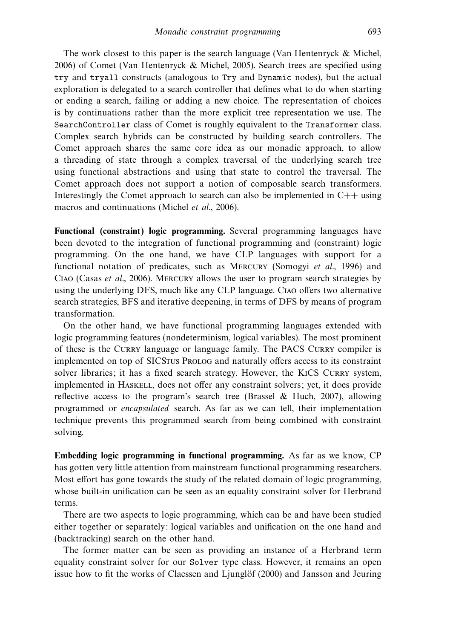The work closest to this paper is the search language (Van Hentenryck & Michel, 2006) of Comet (Van Hentenryck & Michel, 2005). Search trees are specified using try and tryall constructs (analogous to Try and Dynamic nodes), but the actual exploration is delegated to a search controller that defines what to do when starting or ending a search, failing or adding a new choice. The representation of choices is by continuations rather than the more explicit tree representation we use. The SearchController class of Comet is roughly equivalent to the Transformer class. Complex search hybrids can be constructed by building search controllers. The Comet approach shares the same core idea as our monadic approach, to allow a threading of state through a complex traversal of the underlying search tree using functional abstractions and using that state to control the traversal. The Comet approach does not support a notion of composable search transformers. Interestingly the Comet approach to search can also be implemented in  $C++$  using macros and continuations (Michel *et al.*, 2006).

**Functional (constraint) logic programming.** Several programming languages have been devoted to the integration of functional programming and (constraint) logic programming. On the one hand, we have CLP languages with support for a functional notation of predicates, such as MERCURY (Somogyi et al., 1996) and Ciao (Casas et al., 2006). Mercury allows the user to program search strategies by using the underlying DFS, much like any CLP language. Ciao offers two alternative search strategies, BFS and iterative deepening, in terms of DFS by means of program transformation.

On the other hand, we have functional programming languages extended with logic programming features (nondeterminism, logical variables). The most prominent of these is the Curry language or language family. The PACS Curry compiler is implemented on top of SICStus Prolog and naturally offers access to its constraint solver libraries; it has a fixed search strategy. However, the KICS CURRY system, implemented in Haskell, does not offer any constraint solvers; yet, it does provide reflective access to the program's search tree (Brassel & Huch, 2007), allowing programmed or encapsulated search. As far as we can tell, their implementation technique prevents this programmed search from being combined with constraint solving.

**Embedding logic programming in functional programming.** As far as we know, CP has gotten very little attention from mainstream functional programming researchers. Most effort has gone towards the study of the related domain of logic programming, whose built-in unification can be seen as an equality constraint solver for Herbrand terms.

There are two aspects to logic programming, which can be and have been studied either together or separately: logical variables and unification on the one hand and (backtracking) search on the other hand.

The former matter can be seen as providing an instance of a Herbrand term equality constraint solver for our Solver type class. However, it remains an open issue how to fit the works of Claessen and Ljunglöf  $(2000)$  and Jansson and Jeuring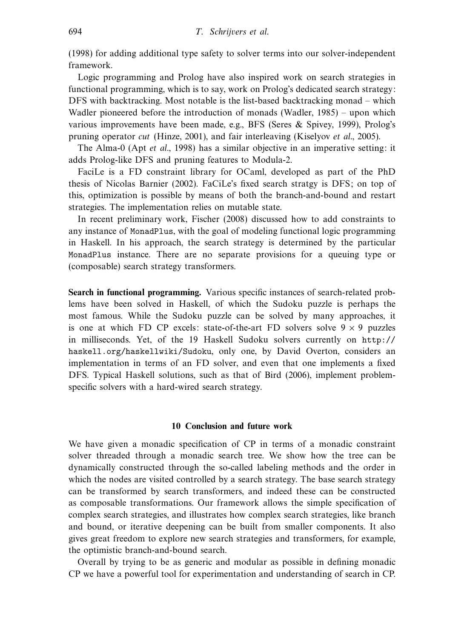(1998) for adding additional type safety to solver terms into our solver-independent framework.

Logic programming and Prolog have also inspired work on search strategies in functional programming, which is to say, work on Prolog's dedicated search strategy: DFS with backtracking. Most notable is the list-based backtracking monad – which Wadler pioneered before the introduction of monads (Wadler, 1985) – upon which various improvements have been made, e.g., BFS (Seres & Spivey, 1999), Prolog's pruning operator cut (Hinze, 2001), and fair interleaving (Kiselyov et al., 2005).

The Alma-0 (Apt *et al.*, 1998) has a similar objective in an imperative setting: it adds Prolog-like DFS and pruning features to Modula-2.

FaciLe is a FD constraint library for OCaml, developed as part of the PhD thesis of Nicolas Barnier (2002). FaCiLe's fixed search stratgy is DFS; on top of this, optimization is possible by means of both the branch-and-bound and restart strategies. The implementation relies on mutable state.

In recent preliminary work, Fischer (2008) discussed how to add constraints to any instance of MonadPlus, with the goal of modeling functional logic programming in Haskell. In his approach, the search strategy is determined by the particular MonadPlus instance. There are no separate provisions for a queuing type or (composable) search strategy transformers.

**Search in functional programming.** Various specific instances of search-related problems have been solved in Haskell, of which the Sudoku puzzle is perhaps the most famous. While the Sudoku puzzle can be solved by many approaches, it is one at which FD CP excels: state-of-the-art FD solvers solve  $9 \times 9$  puzzles in milliseconds. Yet, of the 19 Haskell Sudoku solvers currently on http:// haskell.org/haskellwiki/Sudoku, only one, by David Overton, considers an implementation in terms of an FD solver, and even that one implements a fixed DFS. Typical Haskell solutions, such as that of Bird (2006), implement problemspecific solvers with a hard-wired search strategy.

# **10 Conclusion and future work**

We have given a monadic specification of CP in terms of a monadic constraint solver threaded through a monadic search tree. We show how the tree can be dynamically constructed through the so-called labeling methods and the order in which the nodes are visited controlled by a search strategy. The base search strategy can be transformed by search transformers, and indeed these can be constructed as composable transformations. Our framework allows the simple specification of complex search strategies, and illustrates how complex search strategies, like branch and bound, or iterative deepening can be built from smaller components. It also gives great freedom to explore new search strategies and transformers, for example, the optimistic branch-and-bound search.

Overall by trying to be as generic and modular as possible in defining monadic CP we have a powerful tool for experimentation and understanding of search in CP.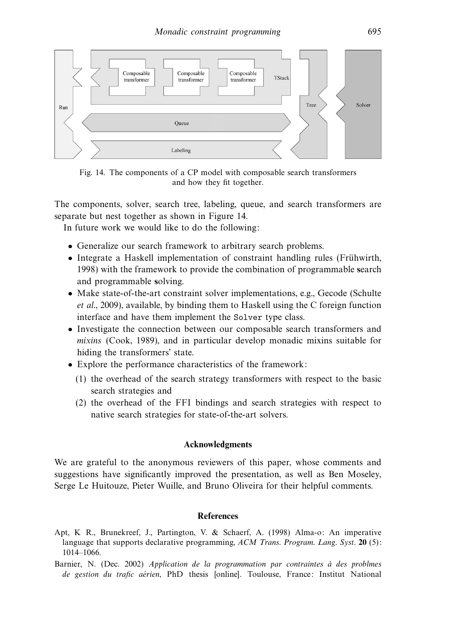

Fig. 14. The components of a CP model with composable search transformers and how they fit together.

The components, solver, search tree, labeling, queue, and search transformers are separate but nest together as shown in Figure 14.

In future work we would like to do the following:

- Generalize our search framework to arbitrary search problems.
- Integrate a Haskell implementation of constraint handling rules (Frühwirth, 1998) with the framework to provide the combination of programmable **s**earch and programmable **s**olving.
- Make state-of-the-art constraint solver implementations, e.g., Gecode (Schulte) et al., 2009), available, by binding them to Haskell using the C foreign function interface and have them implement the Solver type class.
- Investigate the connection between our composable search transformers and mixins (Cook, 1989), and in particular develop monadic mixins suitable for hiding the transformers' state.
- Explore the performance characteristics of the framework:
	- (1) the overhead of the search strategy transformers with respect to the basic search strategies and
	- (2) the overhead of the FFI bindings and search strategies with respect to native search strategies for state-of-the-art solvers.

# **Acknowledgments**

We are grateful to the anonymous reviewers of this paper, whose comments and suggestions have significantly improved the presentation, as well as Ben Moseley, Serge Le Huitouze, Pieter Wuille, and Bruno Oliveira for their helpful comments.

# **References**

- Apt, K R., Brunekreef, J., Partington, V. & Schaerf, A. (1998) Alma-o: An imperative language that supports declarative programming, ACM Trans. Program. Lang. Syst. **20** (5): 1014–1066.
- Barnier, N. (Dec. 2002) Application de la programmation par contraintes à des problmes de gestion du trafic aérien, PhD thesis [online]. Toulouse, France: Institut National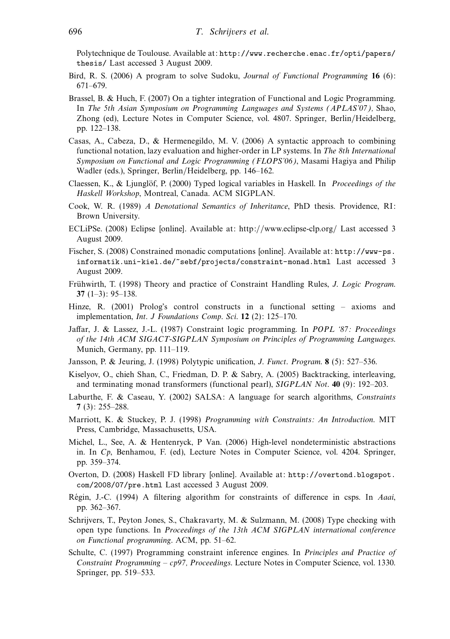Polytechnique de Toulouse. Available at: http://www.recherche.enac.fr/opti/papers/ thesis/ Last accessed 3 August 2009.

- Bird, R. S. (2006) A program to solve Sudoku, Journal of Functional Programming **16** (6): 671–679.
- Brassel, B. & Huch, F. (2007) On a tighter integration of Functional and Logic Programming. In The 5th Asian Symposium on Programming Languages and Systems (APLAS'07), Shao, Zhong (ed), Lecture Notes in Computer Science, vol. 4807. Springer, Berlin/Heidelberg, pp. 122–138.
- Casas, A., Cabeza, D., & Hermenegildo, M. V. (2006) A syntactic approach to combining functional notation, lazy evaluation and higher-order in LP systems. In The 8th International Symposium on Functional and Logic Programming (FLOPS'06), Masami Hagiya and Philip Wadler (eds.), Springer, Berlin/Heidelberg, pp. 146–162.
- Claessen, K., & Ljunglöf, P. (2000) Typed logical variables in Haskell. In *Proceedings of the* Haskell Workshop, Montreal, Canada. ACM SIGPLAN.
- Cook, W. R. (1989) A Denotational Semantics of Inheritance, PhD thesis. Providence, RI: Brown University.
- ECLiPSe. (2008) Eclipse [online]. Available at: http://www.eclipse-clp.org/ Last accessed 3 August 2009.
- Fischer, S. (2008) Constrained monadic computations [online]. Available at: http://www-ps. informatik.uni-kiel.de/~sebf/projects/constraint-monad.html Last accessed 3 August 2009.
- Frühwirth, T. (1998) Theory and practice of Constraint Handling Rules, J. Logic Program. **37** (1–3): 95–138.
- Hinze, R. (2001) Prolog's control constructs in a functional setting axioms and implementation, Int. J Foundations Comp. Sci. **12** (2): 125–170.
- Jaffar, J. & Lassez, J.-L. (1987) Constraint logic programming. In POPL '87: Proceedings of the 14th ACM SIGACT-SIGPLAN Symposium on Principles of Programming Languages. Munich, Germany, pp. 111–119.
- Jansson, P. & Jeuring, J. (1998) Polytypic unification, J. Funct. Program. **8** (5): 527–536.
- Kiselyov, O., chieh Shan, C., Friedman, D. P. & Sabry, A. (2005) Backtracking, interleaving, and terminating monad transformers (functional pearl), SIGPLAN Not. **40** (9): 192–203.
- Laburthe, F. & Caseau, Y. (2002) SALSA: A language for search algorithms, Constraints **7** (3): 255–288.
- Marriott, K. & Stuckey, P. J. (1998) Programming with Constraints: An Introduction. MIT Press, Cambridge, Massachusetts, USA.
- Michel, L., See, A. & Hentenryck, P Van. (2006) High-level nondeterministic abstractions in. In Cp, Benhamou, F. (ed), Lecture Notes in Computer Science, vol. 4204. Springer, pp. 359–374.
- Overton, D. (2008) Haskell FD library [online]. Available at: http://overtond.blogspot. com/2008/07/pre.html Last accessed 3 August 2009.
- Régin, J.-C. (1994) A filtering algorithm for constraints of difference in csps. In Aaai, pp. 362–367.
- Schrijvers, T., Peyton Jones, S., Chakravarty, M. & Sulzmann, M. (2008) Type checking with open type functions. In Proceedings of the 13th ACM SIGPLAN international conference on Functional programming. ACM, pp. 51–62.
- Schulte, C. (1997) Programming constraint inference engines. In Principles and Practice of Constraint Programming – cp97, Proceedings. Lecture Notes in Computer Science, vol. 1330. Springer, pp. 519–533.